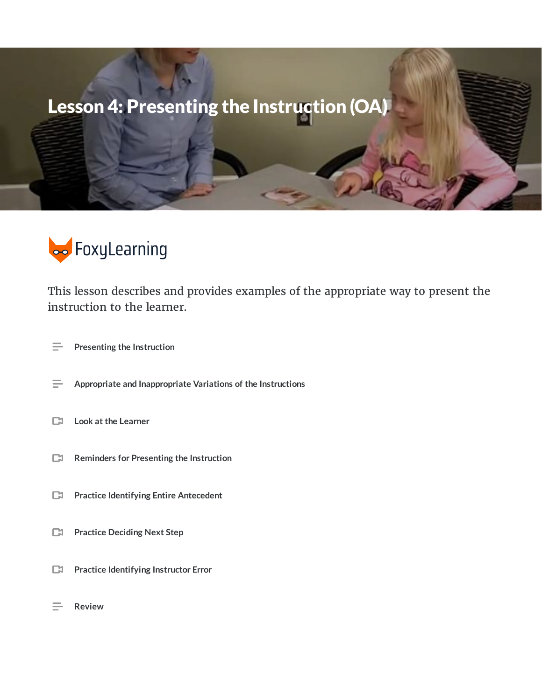# Lesson 4: Presenting the Instruction (OA)



This lesson describes and provides examples of the appropriate way to present the instruction to the learner.

- **Presenting the Instruction**  $\equiv$
- $\equiv$ **Appropriate and Inappropriate Variations of the Instructions**
- **Look at the Learner**  $\Box$
- **Reminders for Presenting the Instruction**
- **Practice Identifying Entire Antecedent**
- **Practice Deciding Next Step**
- **Practice Identifying Instructor Error**
- **Review**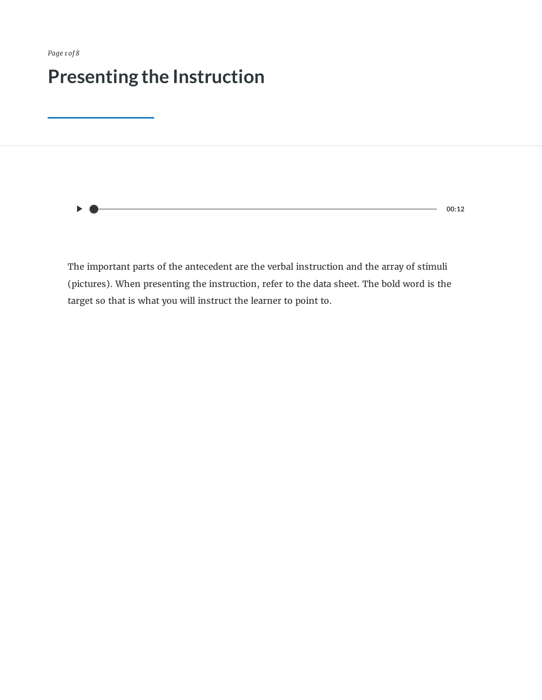*Page 1 of 8*

# **Presenting the Instruction**

 $-$  00:12

The important parts of the antecedent are the verbal instruction and the array of stimuli (pictures). When presenting the instruction, refer to the data sheet. The bold word is the target so that is what you will instruct the learner to point to.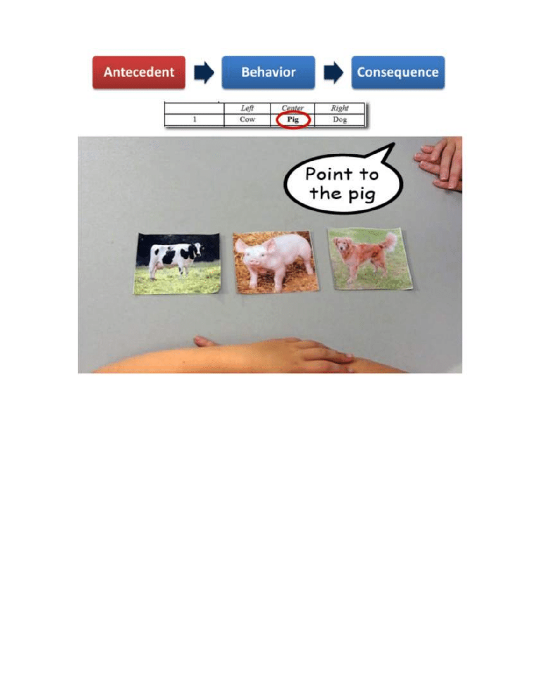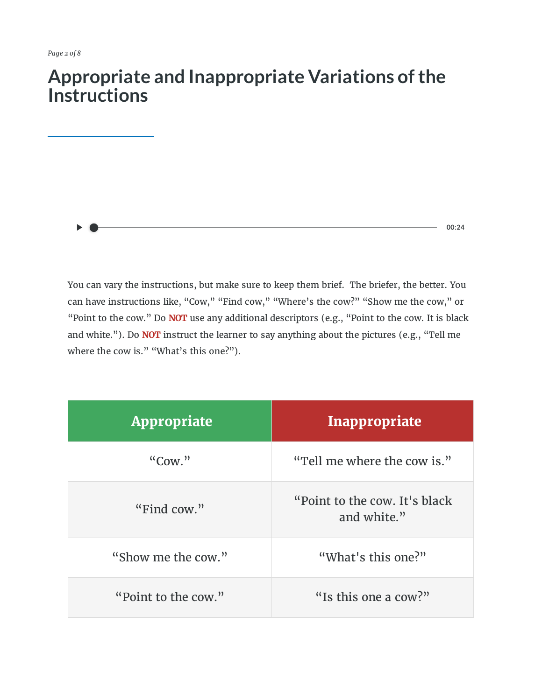### **Appropriate and Inappropriate Variations ofthe Instructions**



You can vary the instructions, but make sure to keep them brief. The briefer, the better. You can have instructions like, "Cow," "Find cow," "Where's the cow?" "Show me the cow," or "Point to the cow." Do **NOT** use any additional descriptors (e.g., "Point to the cow. It is black and white."). Do **NOT** instruct the learner to say anything about the pictures (e.g., "Tell me where the cow is." "What's this one?").

| <b>Appropriate</b>  | Inappropriate                                 |
|---------------------|-----------------------------------------------|
| "Conv."             | "Tell me where the cow is."                   |
| "Find cow."         | "Point to the cow. It's black"<br>and white." |
| "Show me the cow."  | "What's this one?"                            |
| "Point to the cow." | "Is this one a cow?"                          |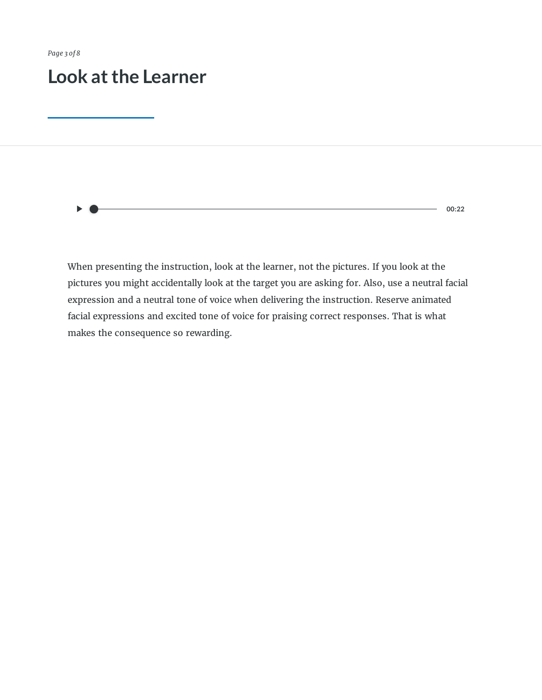*Page 3 of 8*

### **Look atthe Learner**

**00:22**

When presenting the instruction, look at the learner, not the pictures. If you look at the pictures you might accidentally look at the target you are asking for. Also, use a neutral facial expression and a neutral tone of voice when delivering the instruction. Reserve animated facial expressions and excited tone of voice for praising correct responses. That is what makes the consequence so rewarding.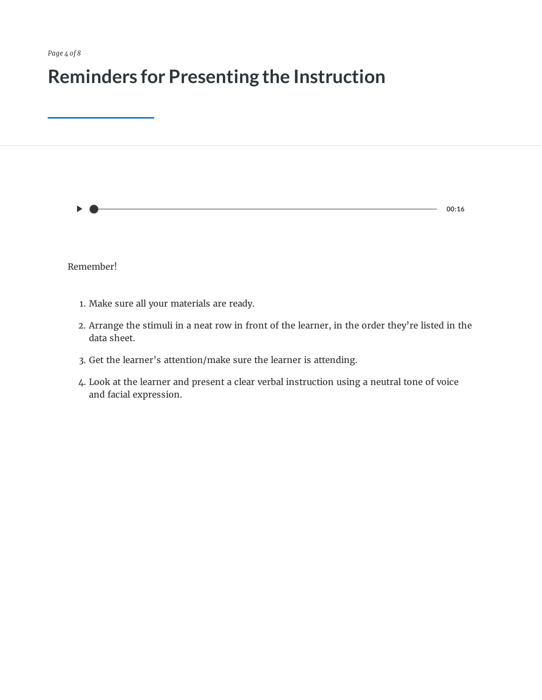# **Reminders for Presenting the Instruction**

| ▶                                          | 00:16 |
|--------------------------------------------|-------|
|                                            |       |
| Remember!                                  |       |
| 1. Make sure all your materials are ready. |       |

- 2. Arrange the stimuli in a neat row in front of the learner, in the order they're listed in the data sheet.
- 3. Get the learner's attention/make sure the learner is attending.
- 4. Look at the learner and present a clear verbal instruction using a neutral tone of voice and facial expression.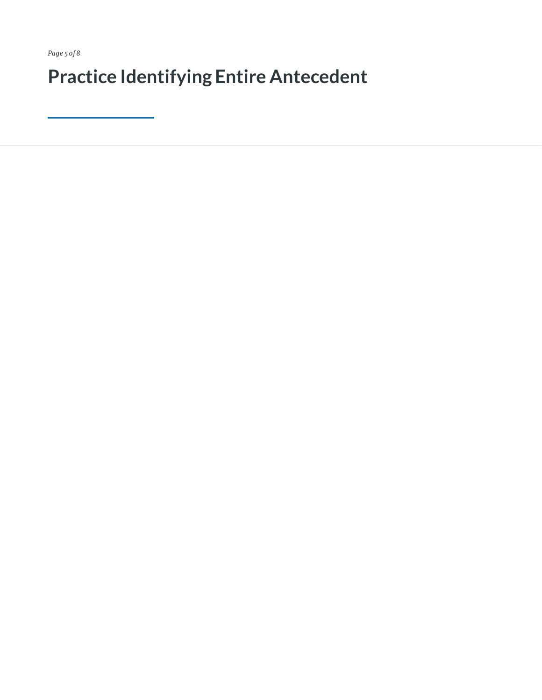*Page 5 of 8*

**Practice Identifying Entire Antecedent**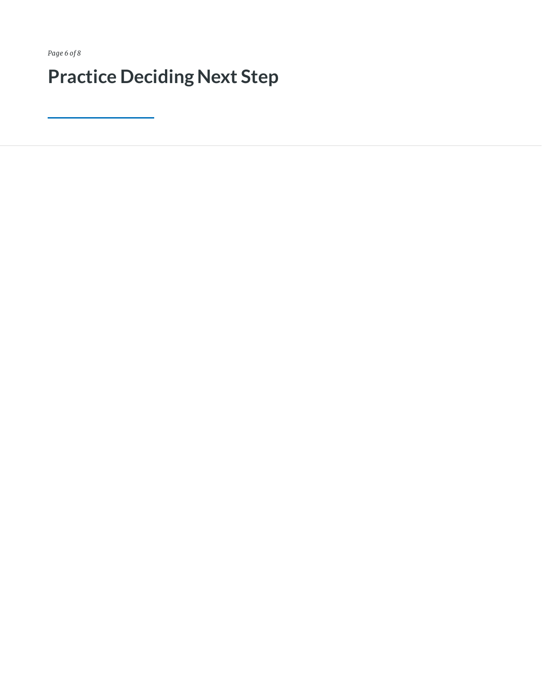*Page 6 of 8*

# **Practice Deciding Next Step**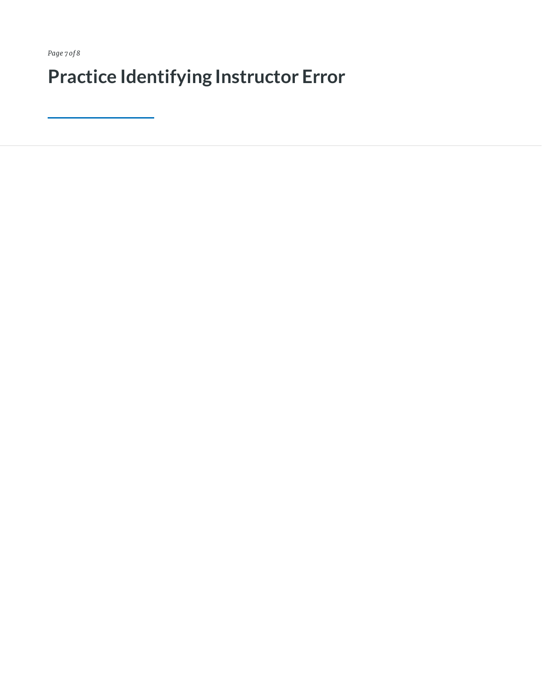*Page 7 of 8*

**Practice Identifying Instructor Error**